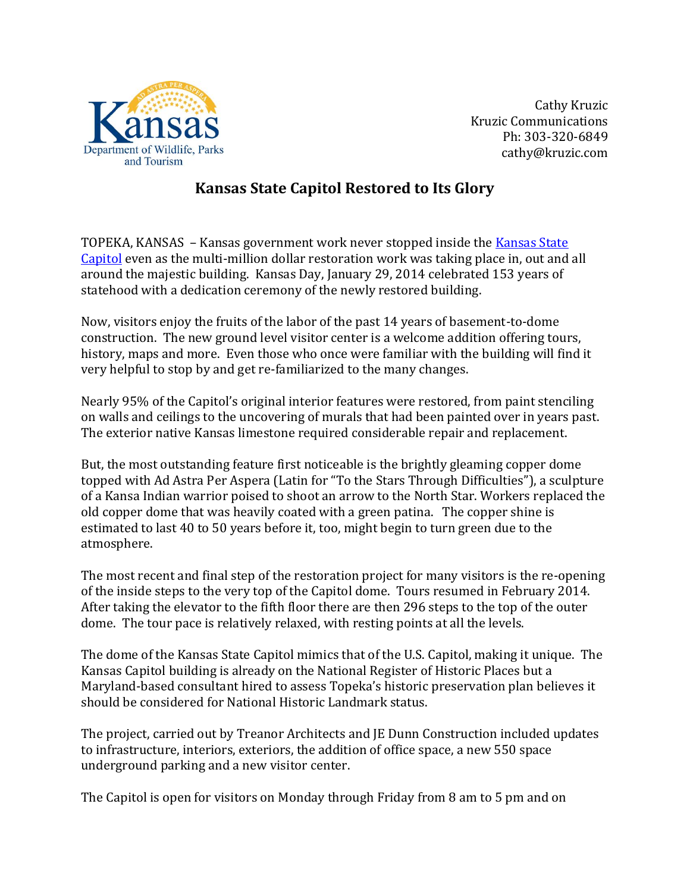

Cathy Kruzic Kruzic Communications Ph: 303-320-6849 cathy@kruzic.com

## **Kansas State Capitol Restored to Its Glory**

TOPEKA, KANSAS – Kansas government work never stopped inside the [Kansas State](https://www.kshs.org/p/kansas-state-capitol-plan-your-visit/15949)  [Capitol](https://www.kshs.org/p/kansas-state-capitol-plan-your-visit/15949) even as the multi-million dollar restoration work was taking place in, out and all around the majestic building. Kansas Day, January 29, 2014 celebrated 153 years of statehood with a dedication ceremony of the newly restored building.

Now, visitors enjoy the fruits of the labor of the past 14 years of basement-to-dome construction. The new ground level visitor center is a welcome addition offering tours, history, maps and more. Even those who once were familiar with the building will find it very helpful to stop by and get re-familiarized to the many changes.

Nearly 95% of the Capitol's original interior features were restored, from paint stenciling on walls and ceilings to the uncovering of murals that had been painted over in years past. The exterior native Kansas limestone required considerable repair and replacement.

But, the most outstanding feature first noticeable is the brightly gleaming copper dome topped with Ad Astra Per Aspera (Latin for "To the Stars Through Difficulties"), a sculpture of a Kansa Indian warrior poised to shoot an arrow to the North Star. Workers replaced the old copper dome that was heavily coated with a green patina. The copper shine is estimated to last 40 to 50 years before it, too, might begin to turn green due to the atmosphere.

The most recent and final step of the restoration project for many visitors is the re-opening of the inside steps to the very top of the Capitol dome. Tours resumed in February 2014. After taking the elevator to the fifth floor there are then 296 steps to the top of the outer dome. The tour pace is relatively relaxed, with resting points at all the levels.

The dome of the Kansas State Capitol mimics that of the U.S. Capitol, making it unique. The Kansas Capitol building is already on the National Register of Historic Places but a Maryland-based consultant hired to assess Topeka's historic preservation plan believes it should be considered for National Historic Landmark status.

The project, carried out by Treanor Architects and JE Dunn Construction included updates to infrastructure, interiors, exteriors, the addition of office space, a new 550 space underground parking and a new visitor center.

The Capitol is open for visitors on Monday through Friday from 8 am to 5 pm and on